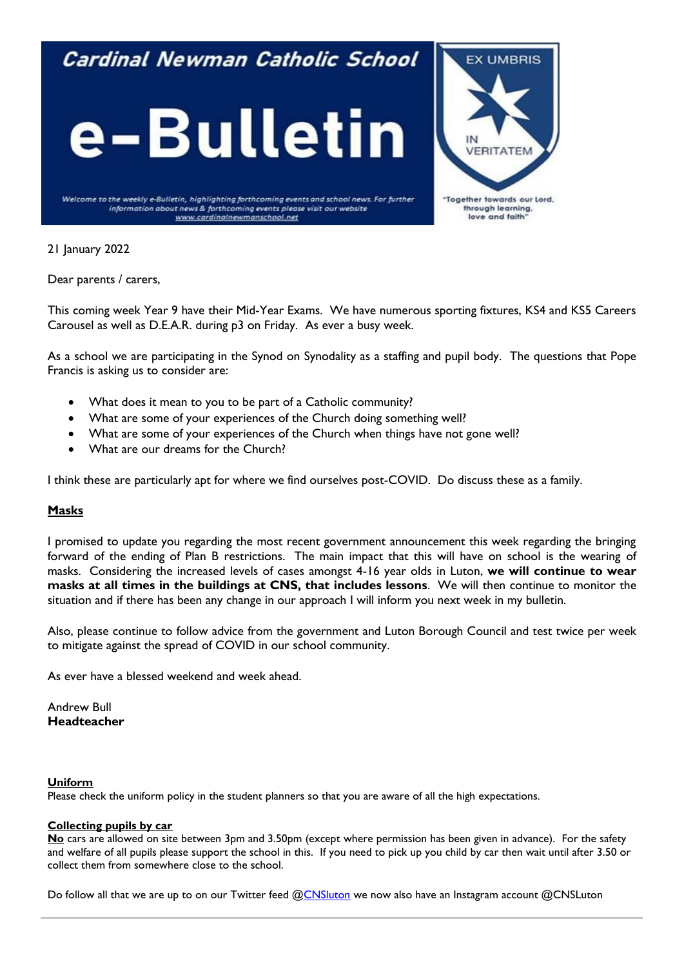## Cardinal Newman Catholic School





Welcome to the weekly e-Bulletin, highlighting forthcoming events and school news. For further information about news & forthcoming events please visit our website www.cardinalnewmanschool.net

21 January 2022

Dear parents / carers,

This coming week Year 9 have their Mid-Year Exams. We have numerous sporting fixtures, KS4 and KS5 Careers Carousel as well as D.E.A.R. during p3 on Friday. As ever a busy week.

As a school we are participating in the Synod on Synodality as a staffing and pupil body. The questions that Pope Francis is asking us to consider are:

- What does it mean to you to be part of a Catholic community?
- What are some of your experiences of the Church doing something well?
- What are some of your experiences of the Church when things have not gone well?
- What are our dreams for the Church?

I think these are particularly apt for where we find ourselves post-COVID. Do discuss these as a family.

## **Masks**

I promised to update you regarding the most recent government announcement this week regarding the bringing forward of the ending of Plan B restrictions. The main impact that this will have on school is the wearing of masks. Considering the increased levels of cases amongst 4-16 year olds in Luton, **we will continue to wear masks at all times in the buildings at CNS, that includes lessons**. We will then continue to monitor the situation and if there has been any change in our approach I will inform you next week in my bulletin.

Also, please continue to follow advice from the government and Luton Borough Council and test twice per week to mitigate against the spread of COVID in our school community.

As ever have a blessed weekend and week ahead.

Andrew Bull **Headteacher**

## **Uniform**

Please check the uniform policy in the student planners so that you are aware of all the high expectations.

## **Collecting pupils by car**

**No** cars are allowed on site between 3pm and 3.50pm (except where permission has been given in advance). For the safety and welfare of all pupils please support the school in this. If you need to pick up you child by car then wait until after 3.50 or collect them from somewhere close to the school.

Do follow all that we are up to on our Twitter feed [@CNSluton](https://twitter.com/CNSLuton) we now also have an Instagram account @CNSLuton